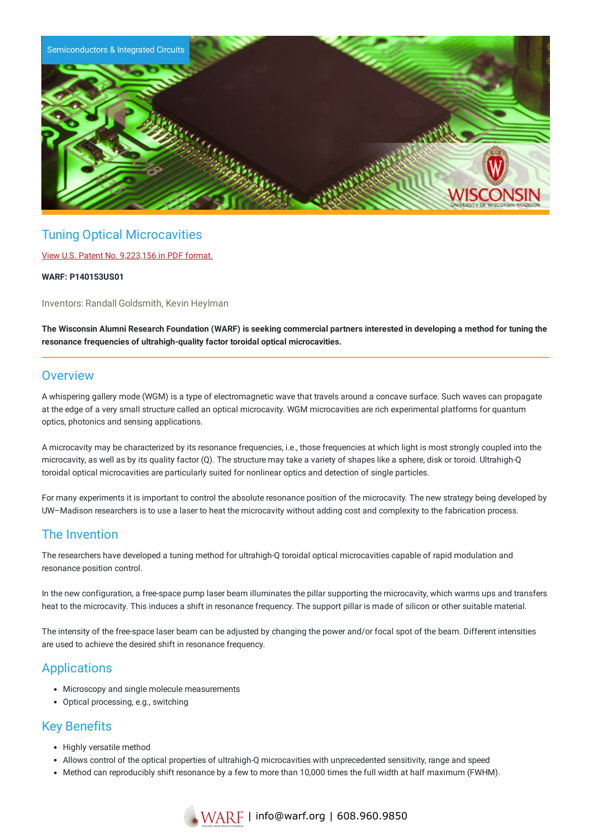

## Tuning Optical Microcavities

#### View U.S. Patent No. [9,223,156](https://www.warf.org/wp-content/uploads/technologies/ipstatus/P140153US01.PDF) in PDF format.

#### **WARF: P140153US01**

Inventors: Randall Goldsmith, Kevin Heylman

The Wisconsin Alumni Research Foundation (WARF) is seeking commercial partners interested in developing a method for tuning the **resonance frequencies of ultrahigh-quality factor toroidal optical microcavities.**

### **Overview**

A whispering gallery mode (WGM) is a type of electromagnetic wave that travels around a concave surface. Such waves can propagate at the edge of a very small structure called an optical microcavity. WGM microcavities are rich experimental platforms for quantum optics, photonics and sensing applications.

A microcavity may be characterized by its resonance frequencies, i.e., those frequencies at which light is most strongly coupled into the microcavity, as well as by its quality factor (Q). The structure may take a variety of shapes like a sphere, disk or toroid. Ultrahigh-Q toroidal optical microcavities are particularly suited for nonlinear optics and detection of single particles.

For many experiments it is important to control the absolute resonance position of the microcavity. The new strategy being developed by UW–Madison researchers is to use a laser to heat the microcavity without adding cost and complexity to the fabrication process.

## The Invention

The researchers have developed a tuning method for ultrahigh-Q toroidal optical microcavities capable of rapid modulation and resonance position control.

In the new configuration, a free-space pump laser beam illuminates the pillar supporting the microcavity, which warms ups and transfers heat to the microcavity. This induces a shift in resonance frequency. The support pillar is made of silicon or other suitable material.

The intensity of the free-space laser beam can be adjusted by changing the power and/or focal spot of the beam. Different intensities are used to achieve the desired shift in resonance frequency.

## Applications

- Microscopy and single molecule measurements
- Optical processing, e.g., switching

## Key Benefits

- Highly versatile method
- Allows control of the optical properties of ultrahigh-Q microcavities with unprecedented sensitivity, range and speed
- Method can reproducibly shift resonance by a few to more than 10,000 times the full width at half maximum (FWHM).